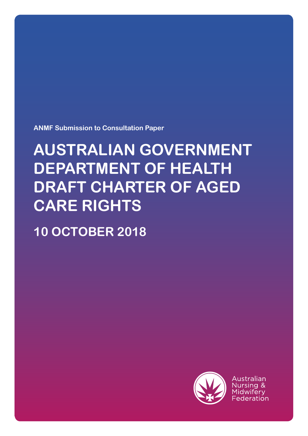**ANMF Submission to Consultation Paper**

# **AUSTRALIAN GOVERNMENT DEPARTMENT OF HEALTH DRAFT CHARTER OF AGED CARE RIGHTS**

**10 OCTOBER 2018**



Australian Nursing & Midwiferv Federation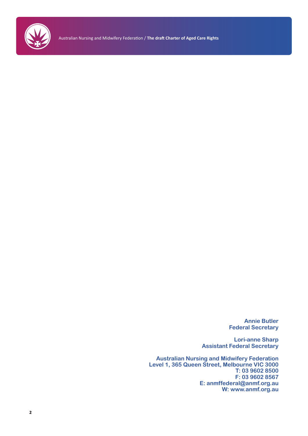

Australian Nursing and Midwifery Federation / **The draft Charter of Aged Care Rights**

**Annie Butler Federal Secretary**

**Lori-anne Sharp Assistant Federal Secretary**

**Australian Nursing and Midwifery Federation Level 1, 365 Queen Street, Melbourne VIC 3000 T: 03 9602 8500 F: 03 9602 8567 E: anmffederal@anmf.org.au W: www.anmf.org.au**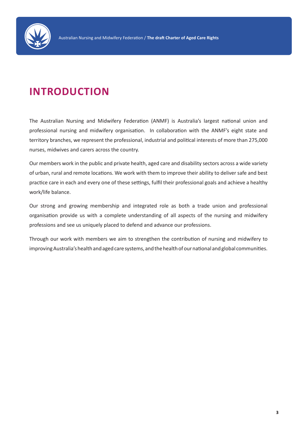

# **INTRODUCTION**

The Australian Nursing and Midwifery Federation (ANMF) is Australia's largest national union and professional nursing and midwifery organisation. In collaboration with the ANMF's eight state and territory branches, we represent the professional, industrial and political interests of more than 275,000 nurses, midwives and carers across the country.

Our members work in the public and private health, aged care and disability sectors across a wide variety of urban, rural and remote locations. We work with them to improve their ability to deliver safe and best practice care in each and every one of these settings, fulfil their professional goals and achieve a healthy work/life balance.

Our strong and growing membership and integrated role as both a trade union and professional organisation provide us with a complete understanding of all aspects of the nursing and midwifery professions and see us uniquely placed to defend and advance our professions.

Through our work with members we aim to strengthen the contribution of nursing and midwifery to improving Australia's health and aged care systems, and the health of our national and global communities.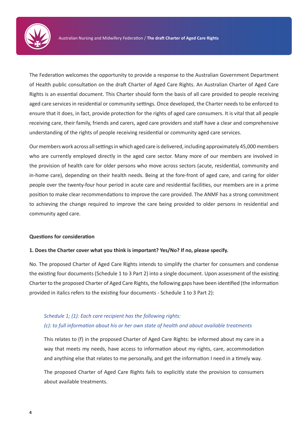

The Federation welcomes the opportunity to provide a response to the Australian Government Department of Health public consultation on the draft Charter of Aged Care Rights. An Australian Charter of Aged Care Rights is an essential document. This Charter should form the basis of all care provided to people receiving aged care services in residential or community settings. Once developed, the Charter needs to be enforced to ensure that it does, in fact, provide protection for the rights of aged care consumers. It is vital that all people receiving care, their family, friends and carers, aged care providers and staff have a clear and comprehensive understanding of the rights of people receiving residential or community aged care services.

Our members work across all settings in which aged care is delivered, including approximately 45,000 members who are currently employed directly in the aged care sector. Many more of our members are involved in the provision of health care for older persons who move across sectors (acute, residential, community and in-home care), depending on their health needs. Being at the fore-front of aged care, and caring for older people over the twenty-four hour period in acute care and residential facilities, our members are in a prime position to make clear recommendations to improve the care provided. The ANMF has a strong commitment to achieving the change required to improve the care being provided to older persons in residential and community aged care.

#### **Questions for consideration**

#### **1. Does the Charter cover what you think is important? Yes/No? If no, please specify.**

No. The proposed Charter of Aged Care Rights intends to simplify the charter for consumers and condense the existing four documents (Schedule 1 to 3 Part 2) into a single document. Upon assessment of the existing Charter to the proposed Charter of Aged Care Rights, the following gaps have been identified (the information provided in italics refers to the existing four documents - Schedule 1 to 3 Part 2):

## *Schedule 1; (1): Each care recipient has the following rights: (c): to full information about his or her own state of health and about available treatments*

This relates to (f) in the proposed Charter of Aged Care Rights: be informed about my care in a way that meets my needs, have access to information about my rights, care, accommodation and anything else that relates to me personally, and get the information I need in a timely way.

The proposed Charter of Aged Care Rights fails to explicitly state the provision to consumers about available treatments.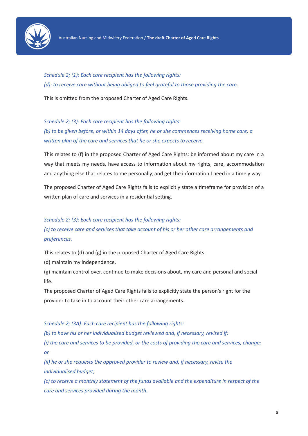

*Schedule 2; (1): Each care recipient has the following rights: (d): to receive care without being obliged to feel grateful to those providing the care.*

This is omitted from the proposed Charter of Aged Care Rights.

*Schedule 2; (3): Each care recipient has the following rights: (b) to be given before, or within 14 days after, he or she commences receiving home care, a written plan of the care and services that he or she expects to receive.*

This relates to (f) in the proposed Charter of Aged Care Rights: be informed about my care in a way that meets my needs, have access to information about my rights, care, accommodation and anything else that relates to me personally, and get the information I need in a timely way.

The proposed Charter of Aged Care Rights fails to explicitly state a timeframe for provision of a written plan of care and services in a residential setting.

### *Schedule 2; (3): Each care recipient has the following rights:*

*(c) to receive care and services that take account of his or her other care arrangements and preferences.*

This relates to (d) and (g) in the proposed Charter of Aged Care Rights:

(d) maintain my independence.

(g) maintain control over, continue to make decisions about, my care and personal and social life.

The proposed Charter of Aged Care Rights fails to explicitly state the person's right for the provider to take in to account their other care arrangements.

*Schedule 2; (3A): Each care recipient has the following rights:*

*(b) to have his or her individualised budget reviewed and, if necessary, revised if:* 

*(i) the care and services to be provided, or the costs of providing the care and services, change; or* 

*(ii) he or she requests the approved provider to review and, if necessary, revise the individualised budget;* 

*(c) to receive a monthly statement of the funds available and the expenditure in respect of the care and services provided during the month.*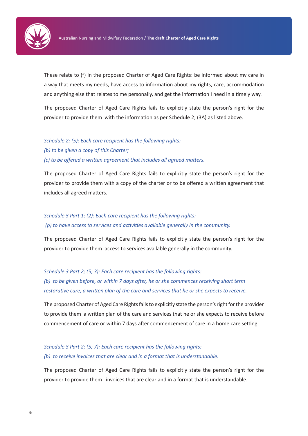

These relate to (f) in the proposed Charter of Aged Care Rights: be informed about my care in a way that meets my needs, have access to information about my rights, care, accommodation and anything else that relates to me personally, and get the information I need in a timely way.

The proposed Charter of Aged Care Rights fails to explicitly state the person's right for the provider to provide them with the information as per Schedule 2; (3A) as listed above.

## *Schedule 2; (5): Each care recipient has the following rights: (b) to be given a copy of this Charter; (c) to be offered a written agreement that includes all agreed matters.*

The proposed Charter of Aged Care Rights fails to explicitly state the person's right for the provider to provide them with a copy of the charter or to be offered a written agreement that includes all agreed matters.

## *Schedule 3 Part 1; (2): Each care recipient has the following rights: (p) to have access to services and activities available generally in the community.*

The proposed Charter of Aged Care Rights fails to explicitly state the person's right for the provider to provide them access to services available generally in the community.

*Schedule 3 Part 2; (5; 3): Each care recipient has the following rights: (b) to be given before, or within 7 days after, he or she commences receiving short term restorative care, a written plan of the care and services that he or she expects to receive.*

The proposed Charter of Aged Care Rights fails to explicitly state the person's right for the provider to provide them a written plan of the care and services that he or she expects to receive before commencement of care or within 7 days after commencement of care in a home care setting.

*Schedule 3 Part 2; (5; 7): Each care recipient has the following rights: (b) to receive invoices that are clear and in a format that is understandable.*

The proposed Charter of Aged Care Rights fails to explicitly state the person's right for the provider to provide them invoices that are clear and in a format that is understandable.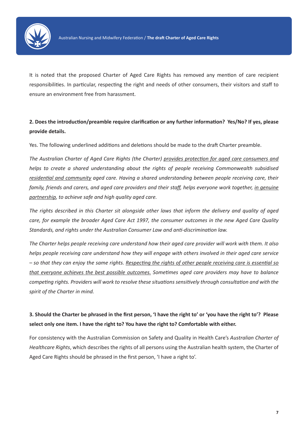

It is noted that the proposed Charter of Aged Care Rights has removed any mention of care recipient responsibilities. In particular, respecting the right and needs of other consumers, their visitors and staff to ensure an environment free from harassment.

## **2. Does the introduction/preamble require clarification or any further information? Yes/No? If yes, please provide details.**

Yes. The following underlined additions and deletions should be made to the draft Charter preamble.

*The Australian Charter of Aged Care Rights (the Charter) provides protection for aged care consumers and helps to create a shared understanding about the rights of people receiving Commonwealth subsidised residential and community aged care. Having a shared understanding between people receiving care, their family, friends and carers, and aged care providers and their staff, helps everyone work together, in genuine partnership, to achieve safe and high quality aged care.* 

*The rights described in this Charter sit alongside other laws that inform the delivery and quality of aged care, for example the broader Aged Care Act 1997, the consumer outcomes in the new Aged Care Quality Standards, and rights under the Australian Consumer Law and anti-discrimination law.* 

*The Charter helps people receiving care understand how their aged care provider will work with them. It also helps people receiving care understand how they will engage with others involved in their aged care service – so that they can enjoy the same rights. Respecting the rights of other people receiving care is essential so that everyone achieves the best possible outcomes. Sometimes aged care providers may have to balance competing rights. Providers will work to resolve these situations sensitively through consultation and with the spirit of the Charter in mind.* 

## **3. Should the Charter be phrased in the first person, 'I have the right to' or 'you have the right to'? Please select only one item. I have the right to? You have the right to? Comfortable with either.**

For consistency with the Australian Commission on Safety and Quality in Health Care's *Australian Charter of Healthcare Rights*, which describes the rights of all persons using the Australian health system, the Charter of Aged Care Rights should be phrased in the first person, 'I have a right to'.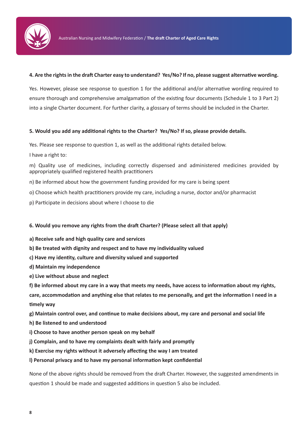

#### **4. Are the rights in the draft Charter easy to understand? Yes/No? If no, please suggest alternative wording.**

Yes. However, please see response to question 1 for the additional and/or alternative wording required to ensure thorough and comprehensive amalgamation of the existing four documents (Schedule 1 to 3 Part 2) into a single Charter document. For further clarity, a glossary of terms should be included in the Charter.

#### **5. Would you add any additional rights to the Charter? Yes/No? If so, please provide details.**

Yes. Please see response to question 1, as well as the additional rights detailed below.

I have a right to:

m) Quality use of medicines, including correctly dispensed and administered medicines provided by appropriately qualified registered health practitioners

- n) Be informed about how the government funding provided for my care is being spent
- o) Choose which health practitioners provide my care, including a nurse, doctor and/or pharmacist
- p) Participate in decisions about where I choose to die

### **6. Would you remove any rights from the draft Charter? (Please select all that apply)**

- **a) Receive safe and high quality care and services**
- **b) Be treated with dignity and respect and to have my individuality valued**
- **c) Have my identity, culture and diversity valued and supported**
- **d) Maintain my independence**
- **e) Live without abuse and neglect**
- **f) Be informed about my care in a way that meets my needs, have access to information about my rights,**

**care, accommodation and anything else that relates to me personally, and get the information I need in a timely way** 

- **g) Maintain control over, and continue to make decisions about, my care and personal and social life**
- **h) Be listened to and understood**
- **i) Choose to have another person speak on my behalf**
- **j) Complain, and to have my complaints dealt with fairly and promptly**
- **k) Exercise my rights without it adversely affecting the way I am treated**
- **l) Personal privacy and to have my personal information kept confidential**

None of the above rights should be removed from the draft Charter. However, the suggested amendments in question 1 should be made and suggested additions in question 5 also be included.